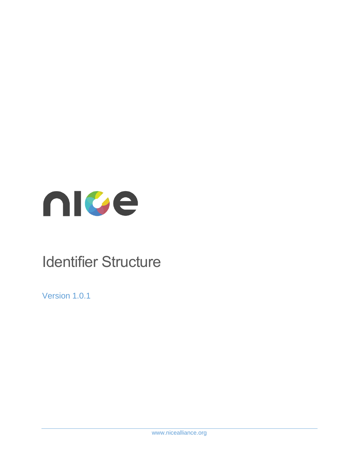

# Identifier Structure

Version 1.0.1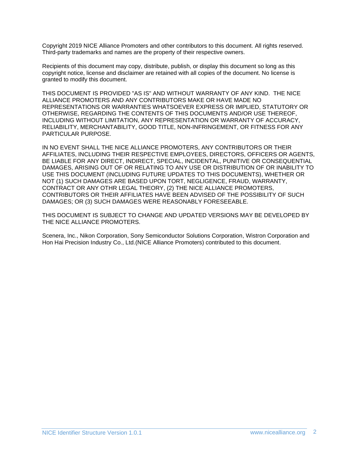Copyright 2019 NICE Alliance Promoters and other contributors to this document. All rights reserved. Third-party trademarks and names are the property of their respective owners.

Recipients of this document may copy, distribute, publish, or display this document so long as this copyright notice, license and disclaimer are retained with all copies of the document. No license is granted to modify this document.

THIS DOCUMENT IS PROVIDED "AS IS" AND WITHOUT WARRANTY OF ANY KIND. THE NICE ALLIANCE PROMOTERS AND ANY CONTRIBUTORS MAKE OR HAVE MADE NO REPRESENTATIONS OR WARRANTIES WHATSOEVER EXPRESS OR IMPLIED, STATUTORY OR OTHERWISE, REGARDING THE CONTENTS OF THIS DOCUMENTS AND/OR USE THEREOF, INCLUDING WITHOUT LIMITATION, ANY REPRESENTATION OR WARRANTY OF ACCURACY, RELIABILITY, MERCHANTABILITY, GOOD TITLE, NON-INFRINGEMENT, OR FITNESS FOR ANY PARTICULAR PURPOSE.

IN NO EVENT SHALL THE NICE ALLIANCE PROMOTERS, ANY CONTRIBUTORS OR THEIR AFFILIATES, INCLUDING THEIR RESPECTIVE EMPLOYEES, DIRECTORS, OFFICERS OR AGENTS, BE LIABLE FOR ANY DIRECT, INDIRECT, SPECIAL, INCIDENTAL, PUNITIVE OR CONSEQUENTIAL DAMAGES, ARISING OUT OF OR RELATING TO ANY USE OR DISTRIBUTION OF OR INABILITY TO USE THIS DOCUMENT (INCLUDING FUTURE UPDATES TO THIS DOCUMENTS), WHETHER OR NOT (1) SUCH DAMAGES ARE BASED UPON TORT, NEGLIGENCE, FRAUD, WARRANTY, CONTRACT OR ANY OTHR LEGAL THEORY, (2) THE NICE ALLIANCE PROMOTERS, CONTRIBUTORS OR THEIR AFFILIATES HAVE BEEN ADVISED OF THE POSSIBILITY OF SUCH DAMAGES; OR (3) SUCH DAMAGES WERE REASONABLY FORESEEABLE.

THIS DOCUMENT IS SUBJECT TO CHANGE AND UPDATED VERSIONS MAY BE DEVELOPED BY THE NICE ALLIANCE PROMOTERS.

Scenera, Inc., Nikon Corporation, Sony Semiconductor Solutions Corporation, Wistron Corporation and Hon Hai Precision Industry Co., Ltd.(NICE Alliance Promoters) contributed to this document.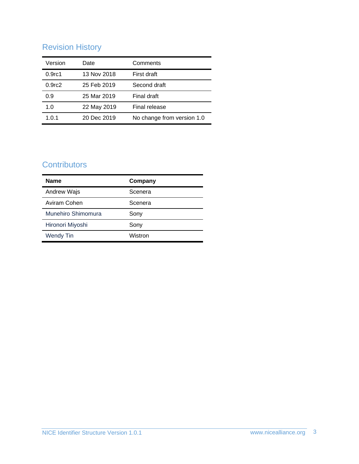# Revision History

| Version            | Date        | Comments                   |
|--------------------|-------------|----------------------------|
| 0.9 <sub>rc1</sub> | 13 Nov 2018 | First draft                |
| 0.9 <sub>rc2</sub> | 25 Feb 2019 | Second draft               |
| 0.9                | 25 Mar 2019 | Final draft                |
| 1.0                | 22 May 2019 | Final release              |
| 1.0.1              | 20 Dec 2019 | No change from version 1.0 |

# **Contributors**

| <b>Name</b>        | Company |
|--------------------|---------|
| Andrew Wajs        | Scenera |
| Aviram Cohen       | Scenera |
| Munehiro Shimomura | Sony    |
| Hironori Miyoshi   | Sony    |
| <b>Wendy Tin</b>   | Wistron |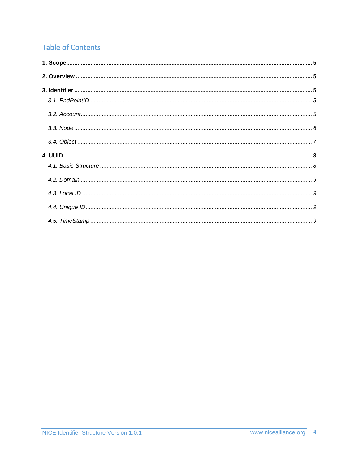# **Table of Contents**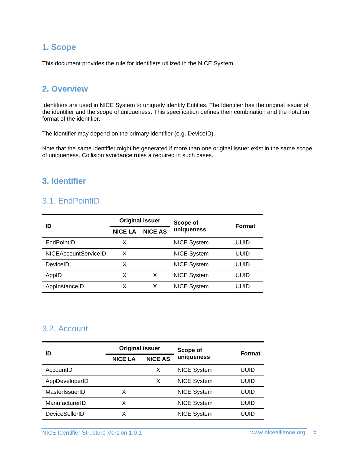## <span id="page-4-0"></span>**1. Scope**

This document provides the rule for identifiers utilized in the NICE System.

#### <span id="page-4-1"></span>**2. Overview**

Identifiers are used in NICE System to uniquely identify Entities. The Identifier has the original issuer of the identifier and the scope of uniqueness. This specification defines their combination and the notation format of the identifier.

The identifier may depend on the primary identifier (e.g. DeviceID).

Note that the same identifier might be generated if more than one original issuer exist in the same scope of uniqueness. Collision avoidance rules a required in such cases.

#### <span id="page-4-3"></span><span id="page-4-2"></span>**3. Identifier**

## 3.1. EndPointID

| ID                          |                | <b>Original issuer</b> | Scope of           | <b>Format</b> |
|-----------------------------|----------------|------------------------|--------------------|---------------|
|                             | <b>NICE LA</b> | <b>NICE AS</b>         | uniqueness         |               |
| EndPointID                  | х              |                        | <b>NICE System</b> | UUID          |
| <b>NICEAccountServiceID</b> | x              |                        | <b>NICE System</b> | uuid          |
| DeviceID                    | x              |                        | <b>NICE System</b> | uuid          |
| AppID                       | X              | X                      | <b>NICE System</b> | UUID          |
| AppInstanceID               | х              | х                      | <b>NICE System</b> | uuid          |

#### <span id="page-4-4"></span>3.2. Account

| ID                    | <b>Original issuer</b> |                | Scope of           | <b>Format</b> |
|-----------------------|------------------------|----------------|--------------------|---------------|
|                       | <b>NICE LA</b>         | <b>NICE AS</b> | uniqueness         |               |
| AccountID             |                        | x              | <b>NICE System</b> | uuid          |
| AppDeveloperID        |                        | х              | <b>NICE System</b> | uuid          |
| MasterIssuerID        | x                      |                | <b>NICE System</b> | uuid          |
| ManufacturerID        | x                      |                | <b>NICE System</b> | uuid          |
| <b>DeviceSellerID</b> |                        |                | <b>NICE System</b> | UUID          |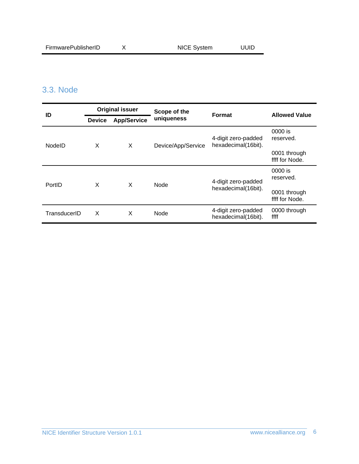# <span id="page-5-0"></span>3.3. Node

| ID           | <b>Original issuer</b> |                    | Scope of the       | Format                                     | <b>Allowed Value</b>           |  |
|--------------|------------------------|--------------------|--------------------|--------------------------------------------|--------------------------------|--|
|              | <b>Device</b>          | <b>App/Service</b> | uniqueness         |                                            |                                |  |
| NodelD       | X                      | X                  | Device/App/Service | 4-digit zero-padded<br>hexadecimal(16bit). | 0000 is<br>reserved.           |  |
|              |                        |                    |                    |                                            | 0001 through<br>ffff for Node. |  |
| PortID       | X                      | X                  | Node               | 4-digit zero-padded<br>hexadecimal(16bit). | 0000 is<br>reserved.           |  |
|              |                        |                    |                    |                                            | 0001 through<br>ffff for Node. |  |
| TransducerID | X                      | X                  | Node               | 4-digit zero-padded<br>hexadecimal(16bit). | 0000 through<br>ffff           |  |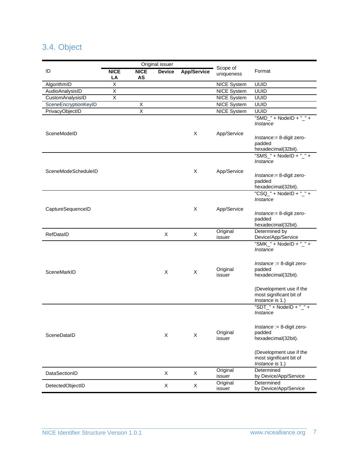# <span id="page-6-0"></span>3.4. Object

|                      | Original issuer         |                         |               |                    |                        |                                                                       |
|----------------------|-------------------------|-------------------------|---------------|--------------------|------------------------|-----------------------------------------------------------------------|
| ID                   | <b>NICE</b><br>LA       | <b>NICE</b><br>AS       | <b>Device</b> | <b>App/Service</b> | Scope of<br>uniqueness | Format                                                                |
| AlgorithmID          | $\overline{X}$          |                         |               |                    | <b>NICE System</b>     | UUID                                                                  |
| AudioAnalysisID      | $\overline{\mathsf{X}}$ |                         |               |                    | <b>NICE System</b>     | UUID                                                                  |
| CustomAnalysisID     | $\overline{\mathsf{x}}$ |                         |               |                    | <b>NICE System</b>     | <b>UUID</b>                                                           |
| SceneEncryptionKeyID |                         | Χ                       |               |                    | <b>NICE System</b>     | <b>UUID</b>                                                           |
| PrivacyObjectID      |                         | $\overline{\mathsf{X}}$ |               |                    | <b>NICE System</b>     | <b>UUID</b>                                                           |
|                      |                         |                         |               |                    |                        | "SMD_" + NodelD + "_" +<br>Instance                                   |
| SceneModeID          |                         |                         |               | Χ                  | App/Service            | Instance:= 8-digit zero-<br>padded<br>hexadecimal(32bit).             |
|                      |                         |                         |               |                    |                        | "SMS_" + NodelD + "_" +<br>Instance                                   |
| SceneModeScheduleID  |                         |                         |               | Χ                  | App/Service            | Instance:= 8-digit zero-<br>padded<br>hexadecimal(32bit).             |
|                      |                         |                         |               |                    |                        | "CSQ_" + NodelD + "_" +<br>Instance                                   |
| CaptureSequenceID    |                         |                         |               | Χ                  | App/Service            | Instance: = 8-digit zero-<br>padded<br>hexadecimal(32bit).            |
| RefDataID            |                         |                         | X             | X                  | Original<br>issuer     | Determined by<br>Device/App/Service                                   |
|                      |                         |                         |               |                    |                        | "SMK_" + NodeID + "_" +<br>Instance                                   |
| SceneMarkID          |                         |                         | X             | X                  | Original<br>issuer     | $Instance := 8$ -digit zero-<br>padded<br>hexadecimal(32bit).         |
|                      |                         |                         |               |                    |                        | (Development use if the<br>most significant bit of<br>Instance is 1.) |
|                      |                         |                         |               |                    |                        | "SDT_" + NodelD + "_" +<br>Instance                                   |
| SceneDataID          |                         |                         | X             | X                  | Original<br>issuer     | $Instance := 8$ -digit zero-<br>padded<br>hexadecimal(32bit).         |
|                      |                         |                         |               |                    |                        | (Development use if the<br>most significant bit of<br>Instance is 1.) |
| DataSectionID        |                         |                         | X             | Χ                  | Original<br>issuer     | Determined<br>by Device/App/Service                                   |
| DetectedObjectID     |                         |                         | X             | X                  | Original<br>issuer     | Determined<br>by Device/App/Service                                   |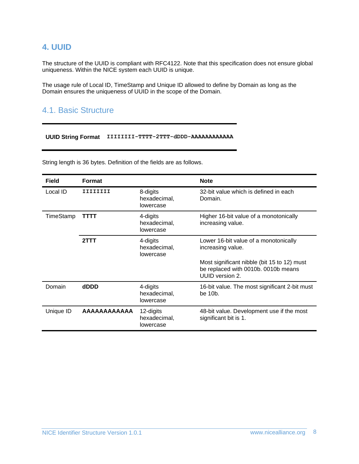## <span id="page-7-0"></span>**4. UUID**

The structure of the UUID is compliant with RFC4122. Note that this specification does not ensure global uniqueness. Within the NICE system each UUID is unique.

The usage rule of Local ID, TimeStamp and Unique ID allowed to define by Domain as long as the Domain ensures the uniqueness of UUID in the scope of the Domain.

## <span id="page-7-1"></span>4.1. Basic Structure

**UUID String Format IIIIIIII-TTTT-2TTT-dDDD-AAAAAAAAAAAA**

| <b>Field</b> | <b>Format</b>      |                                        | <b>Note</b>                                                                                           |
|--------------|--------------------|----------------------------------------|-------------------------------------------------------------------------------------------------------|
| Local ID     | IIIIIIII           | 8-digits<br>hexadecimal,<br>lowercase  | 32-bit value which is defined in each<br>Domain.                                                      |
| TimeStamp    | TTTT               | 4-digits<br>hexadecimal,<br>lowercase  | Higher 16-bit value of a monotonically<br>increasing value.                                           |
|              | 2TTT               | 4-digits<br>hexadecimal,<br>lowercase  | Lower 16-bit value of a monotonically<br>increasing value.                                            |
|              |                    |                                        | Most significant nibble (bit 15 to 12) must<br>be replaced with 0010b. 0010b means<br>UUID version 2. |
| Domain       | dDDD               | 4-digits<br>hexadecimal,<br>lowercase  | 16-bit value. The most significant 2-bit must<br>be 10 <sub>b</sub> .                                 |
| Unique ID    | <b>AAAAAAAAAAA</b> | 12-digits<br>hexadecimal,<br>lowercase | 48-bit value. Development use if the most<br>significant bit is 1.                                    |

String length is 36 bytes. Definition of the fields are as follows.